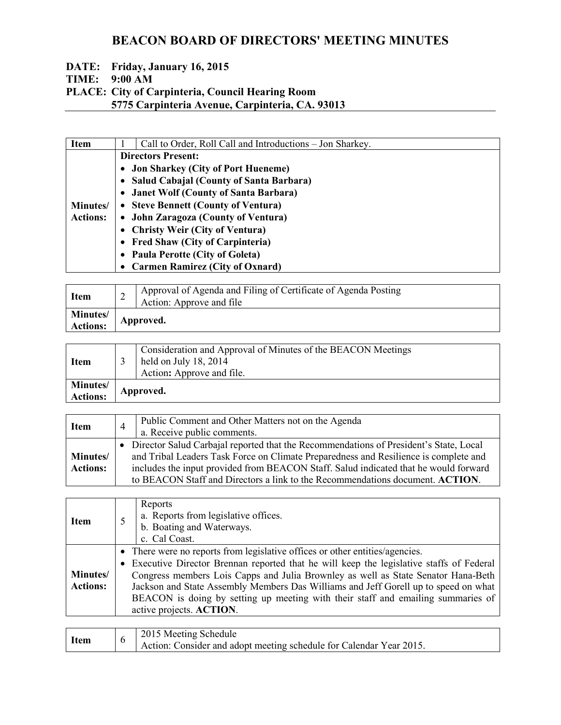### **DATE: Friday, January 16, 2015 TIME: 9:00 AM PLACE: City of Carpinteria, Council Hearing Room 5775 Carpinteria Avenue, Carpinteria, CA. 93013**

| <b>Item</b>                 | Call to Order, Roll Call and Introductions – Jon Sharkey. |  |  |
|-----------------------------|-----------------------------------------------------------|--|--|
|                             | <b>Directors Present:</b>                                 |  |  |
|                             | • Jon Sharkey (City of Port Hueneme)                      |  |  |
|                             | • Salud Cabajal (County of Santa Barbara)                 |  |  |
|                             | • Janet Wolf (County of Santa Barbara)                    |  |  |
| Minutes/<br><b>Actions:</b> | • Steve Bennett (County of Ventura)                       |  |  |
|                             | • John Zaragoza (County of Ventura)                       |  |  |
|                             | • Christy Weir (City of Ventura)                          |  |  |
|                             | • Fred Shaw (City of Carpinteria)                         |  |  |
|                             | • Paula Perotte (City of Goleta)                          |  |  |
|                             | • Carmen Ramirez (City of Oxnard)                         |  |  |

| <b>Item</b>                        |           | Approval of Agenda and Filing of Certificate of Agenda Posting<br>Action: Approve and file |
|------------------------------------|-----------|--------------------------------------------------------------------------------------------|
| <b>Minutes/</b><br><b>Actions:</b> | Approved. |                                                                                            |

| <b>Item</b>                        |           | Consideration and Approval of Minutes of the BEACON Meetings<br>held on July $18, 2014$<br>Action: Approve and file. |
|------------------------------------|-----------|----------------------------------------------------------------------------------------------------------------------|
| <b>Minutes/</b><br><b>Actions:</b> | Approved. |                                                                                                                      |

| <b>Item</b>                 | $\overline{4}$ | Public Comment and Other Matters not on the Agenda<br>a. Receive public comments.                                                                                                                                                                                                                                                                      |
|-----------------------------|----------------|--------------------------------------------------------------------------------------------------------------------------------------------------------------------------------------------------------------------------------------------------------------------------------------------------------------------------------------------------------|
| Minutes/<br><b>Actions:</b> |                | Director Salud Carbajal reported that the Recommendations of President's State, Local<br>and Tribal Leaders Task Force on Climate Preparedness and Resilience is complete and<br>includes the input provided from BEACON Staff. Salud indicated that he would forward<br>to BEACON Staff and Directors a link to the Recommendations document. ACTION. |

| <b>Item</b>                 | Reports<br>a. Reports from legislative offices.<br>b. Boating and Waterways.<br>c. Cal Coast.                                                                                                                                                                                                                                                                                                                                                                         |  |
|-----------------------------|-----------------------------------------------------------------------------------------------------------------------------------------------------------------------------------------------------------------------------------------------------------------------------------------------------------------------------------------------------------------------------------------------------------------------------------------------------------------------|--|
| Minutes/<br><b>Actions:</b> | • There were no reports from legislative offices or other entities/agencies.<br>• Executive Director Brennan reported that he will keep the legislative staffs of Federal<br>Congress members Lois Capps and Julia Brownley as well as State Senator Hana-Beth<br>Jackson and State Assembly Members Das Williams and Jeff Gorell up to speed on what<br>BEACON is doing by setting up meeting with their staff and emailing summaries of<br>active projects. ACTION. |  |

| 2015 Meeting Schedule<br><b>Item</b><br>Action: Consider and adopt meeting schedule for Calendar Year 2015. |  |
|-------------------------------------------------------------------------------------------------------------|--|
|-------------------------------------------------------------------------------------------------------------|--|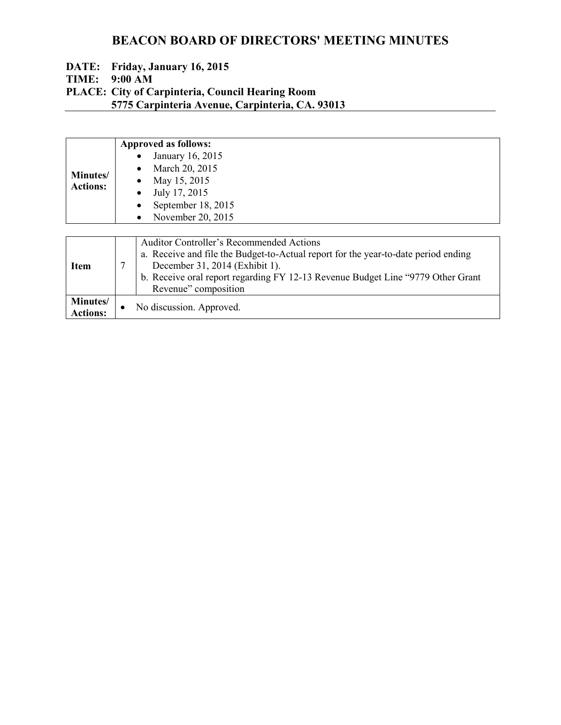#### **DATE: Friday, January 16, 2015 TIME: 9:00 AM PLACE: City of Carpinteria, Council Hearing Room 5775 Carpinteria Avenue, Carpinteria, CA. 93013**

|                 |           | <b>Approved as follows:</b>                                                        |
|-----------------|-----------|------------------------------------------------------------------------------------|
| Minutes/        |           | January 16, 2015                                                                   |
|                 |           | March 20, 2015                                                                     |
|                 |           | May 15, 2015                                                                       |
| <b>Actions:</b> | $\bullet$ | July 17, 2015                                                                      |
|                 | $\bullet$ | September 18, 2015                                                                 |
|                 | $\bullet$ | November 20, 2015                                                                  |
|                 |           |                                                                                    |
|                 |           | <b>Auditor Controller's Recommended Actions</b>                                    |
| <b>Item</b>     |           | a. Receive and file the Budget-to-Actual report for the year-to-date period ending |
|                 | 7         | December 31, 2014 (Exhibit 1).                                                     |
|                 |           | b. Receive oral report regarding FY 12-13 Revenue Budget Line "9779 Other Grant"   |
|                 |           | Revenue" composition                                                               |
| Minutes/        |           | No discussion. Approved.                                                           |
| <b>Actions:</b> |           |                                                                                    |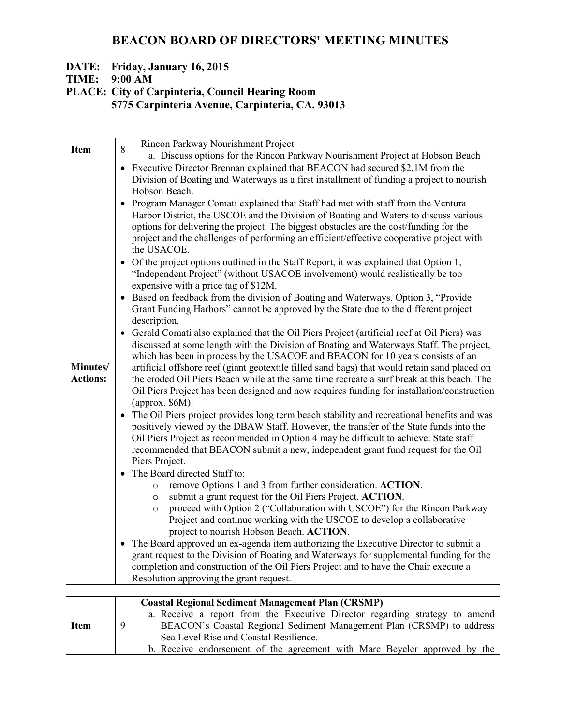### **DATE: Friday, January 16, 2015 TIME: 9:00 AM PLACE: City of Carpinteria, Council Hearing Room 5775 Carpinteria Avenue, Carpinteria, CA. 93013**

|                             | Rincon Parkway Nourishment Project                                                                                                                                                                                                                                                                                                                                                                                                                                                                                                                                                                                                                                                                                                                                                                                                                                                                                                                                                                                                                                                                                                                                                                                                                                                                                                                                                                                                                                                                                                                                                                                                                                                                                                                                                                                                                                                                                                                                                                                                                                                                                                                                                                                                                                                                                                                                                                                                                                                                                                                                                                                                                                                                                                                                   |
|-----------------------------|----------------------------------------------------------------------------------------------------------------------------------------------------------------------------------------------------------------------------------------------------------------------------------------------------------------------------------------------------------------------------------------------------------------------------------------------------------------------------------------------------------------------------------------------------------------------------------------------------------------------------------------------------------------------------------------------------------------------------------------------------------------------------------------------------------------------------------------------------------------------------------------------------------------------------------------------------------------------------------------------------------------------------------------------------------------------------------------------------------------------------------------------------------------------------------------------------------------------------------------------------------------------------------------------------------------------------------------------------------------------------------------------------------------------------------------------------------------------------------------------------------------------------------------------------------------------------------------------------------------------------------------------------------------------------------------------------------------------------------------------------------------------------------------------------------------------------------------------------------------------------------------------------------------------------------------------------------------------------------------------------------------------------------------------------------------------------------------------------------------------------------------------------------------------------------------------------------------------------------------------------------------------------------------------------------------------------------------------------------------------------------------------------------------------------------------------------------------------------------------------------------------------------------------------------------------------------------------------------------------------------------------------------------------------------------------------------------------------------------------------------------------------|
| <b>Item</b>                 | 8<br>a. Discuss options for the Rincon Parkway Nourishment Project at Hobson Beach                                                                                                                                                                                                                                                                                                                                                                                                                                                                                                                                                                                                                                                                                                                                                                                                                                                                                                                                                                                                                                                                                                                                                                                                                                                                                                                                                                                                                                                                                                                                                                                                                                                                                                                                                                                                                                                                                                                                                                                                                                                                                                                                                                                                                                                                                                                                                                                                                                                                                                                                                                                                                                                                                   |
| Minutes/<br><b>Actions:</b> | • Executive Director Brennan explained that BEACON had secured \$2.1M from the<br>Division of Boating and Waterways as a first installment of funding a project to nourish<br>Hobson Beach.<br>Program Manager Comati explained that Staff had met with staff from the Ventura<br>$\bullet$<br>Harbor District, the USCOE and the Division of Boating and Waters to discuss various<br>options for delivering the project. The biggest obstacles are the cost/funding for the<br>project and the challenges of performing an efficient/effective cooperative project with<br>the USACOE.<br>Of the project options outlined in the Staff Report, it was explained that Option 1,<br>$\bullet$<br>"Independent Project" (without USACOE involvement) would realistically be too<br>expensive with a price tag of \$12M.<br>Based on feedback from the division of Boating and Waterways, Option 3, "Provide<br>$\bullet$<br>Grant Funding Harbors" cannot be approved by the State due to the different project<br>description.<br>Gerald Comati also explained that the Oil Piers Project (artificial reef at Oil Piers) was<br>$\bullet$<br>discussed at some length with the Division of Boating and Waterways Staff. The project,<br>which has been in process by the USACOE and BEACON for 10 years consists of an<br>artificial offshore reef (giant geotextile filled sand bags) that would retain sand placed on<br>the eroded Oil Piers Beach while at the same time recreate a surf break at this beach. The<br>Oil Piers Project has been designed and now requires funding for installation/construction<br>(approx. $$6M$ ).<br>The Oil Piers project provides long term beach stability and recreational benefits and was<br>$\bullet$<br>positively viewed by the DBAW Staff. However, the transfer of the State funds into the<br>Oil Piers Project as recommended in Option 4 may be difficult to achieve. State staff<br>recommended that BEACON submit a new, independent grant fund request for the Oil<br>Piers Project.<br>• The Board directed Staff to:<br>remove Options 1 and 3 from further consideration. ACTION.<br>$\circ$<br>submit a grant request for the Oil Piers Project. ACTION.<br>$\circ$<br>proceed with Option 2 ("Collaboration with USCOE") for the Rincon Parkway<br>$\circ$<br>Project and continue working with the USCOE to develop a collaborative<br>project to nourish Hobson Beach. ACTION.<br>• The Board approved an ex-agenda item authorizing the Executive Director to submit a<br>grant request to the Division of Boating and Waterways for supplemental funding for the<br>completion and construction of the Oil Piers Project and to have the Chair execute a<br>Resolution approving the grant request. |
|                             | <b>Coastal Regional Sediment Management Plan (CRSMP)</b><br>a. Receive a report from the Executive Director regarding strategy to amend                                                                                                                                                                                                                                                                                                                                                                                                                                                                                                                                                                                                                                                                                                                                                                                                                                                                                                                                                                                                                                                                                                                                                                                                                                                                                                                                                                                                                                                                                                                                                                                                                                                                                                                                                                                                                                                                                                                                                                                                                                                                                                                                                                                                                                                                                                                                                                                                                                                                                                                                                                                                                              |
| <b>Item</b>                 | BEACON's Coastal Regional Sediment Management Plan (CRSMP) to address<br>9<br>Sea Level Rise and Coastal Resilience.                                                                                                                                                                                                                                                                                                                                                                                                                                                                                                                                                                                                                                                                                                                                                                                                                                                                                                                                                                                                                                                                                                                                                                                                                                                                                                                                                                                                                                                                                                                                                                                                                                                                                                                                                                                                                                                                                                                                                                                                                                                                                                                                                                                                                                                                                                                                                                                                                                                                                                                                                                                                                                                 |

b. Receive endorsement of the agreement with Marc Beyeler approved by the